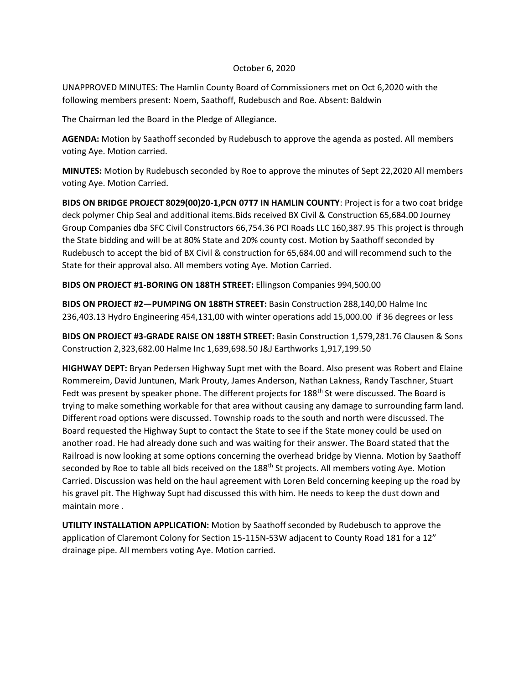## October 6, 2020

UNAPPROVED MINUTES: The Hamlin County Board of Commissioners met on Oct 6,2020 with the following members present: Noem, Saathoff, Rudebusch and Roe. Absent: Baldwin

The Chairman led the Board in the Pledge of Allegiance.

**AGENDA:** Motion by Saathoff seconded by Rudebusch to approve the agenda as posted. All members voting Aye. Motion carried.

**MINUTES:** Motion by Rudebusch seconded by Roe to approve the minutes of Sept 22,2020 All members voting Aye. Motion Carried.

**BIDS ON BRIDGE PROJECT 8029(00)20-1,PCN 07T7 IN HAMLIN COUNTY**: Project is for a two coat bridge deck polymer Chip Seal and additional items.Bids received BX Civil & Construction 65,684.00 Journey Group Companies dba SFC Civil Constructors 66,754.36 PCI Roads LLC 160,387.95 This project is through the State bidding and will be at 80% State and 20% county cost. Motion by Saathoff seconded by Rudebusch to accept the bid of BX Civil & construction for 65,684.00 and will recommend such to the State for their approval also. All members voting Aye. Motion Carried.

**BIDS ON PROJECT #1-BORING ON 188TH STREET:** Ellingson Companies 994,500.00

**BIDS ON PROJECT #2—PUMPING ON 188TH STREET:** Basin Construction 288,140,00 Halme Inc 236,403.13 Hydro Engineering 454,131,00 with winter operations add 15,000.00 if 36 degrees or less

**BIDS ON PROJECT #3-GRADE RAISE ON 188TH STREET:** Basin Construction 1,579,281.76 Clausen & Sons Construction 2,323,682.00 Halme Inc 1,639,698.50 J&J Earthworks 1,917,199.50

**HIGHWAY DEPT:** Bryan Pedersen Highway Supt met with the Board. Also present was Robert and Elaine Rommereim, David Juntunen, Mark Prouty, James Anderson, Nathan Lakness, Randy Taschner, Stuart Fedt was present by speaker phone. The different projects for  $188<sup>th</sup>$  St were discussed. The Board is trying to make something workable for that area without causing any damage to surrounding farm land. Different road options were discussed. Township roads to the south and north were discussed. The Board requested the Highway Supt to contact the State to see if the State money could be used on another road. He had already done such and was waiting for their answer. The Board stated that the Railroad is now looking at some options concerning the overhead bridge by Vienna. Motion by Saathoff seconded by Roe to table all bids received on the 188<sup>th</sup> St projects. All members voting Aye. Motion Carried. Discussion was held on the haul agreement with Loren Beld concerning keeping up the road by his gravel pit. The Highway Supt had discussed this with him. He needs to keep the dust down and maintain more .

**UTILITY INSTALLATION APPLICATION:** Motion by Saathoff seconded by Rudebusch to approve the application of Claremont Colony for Section 15-115N-53W adjacent to County Road 181 for a 12" drainage pipe. All members voting Aye. Motion carried.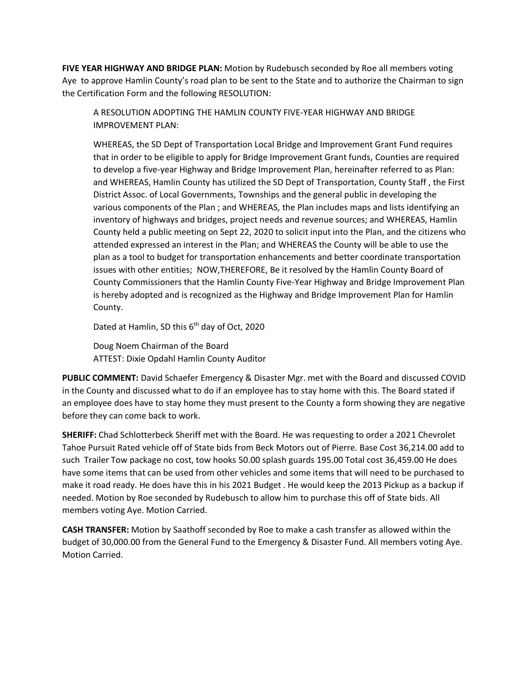**FIVE YEAR HIGHWAY AND BRIDGE PLAN:** Motion by Rudebusch seconded by Roe all members voting Aye to approve Hamlin County's road plan to be sent to the State and to authorize the Chairman to sign the Certification Form and the following RESOLUTION:

A RESOLUTION ADOPTING THE HAMLIN COUNTY FIVE-YEAR HIGHWAY AND BRIDGE IMPROVEMENT PLAN:

WHEREAS, the SD Dept of Transportation Local Bridge and Improvement Grant Fund requires that in order to be eligible to apply for Bridge Improvement Grant funds, Counties are required to develop a five-year Highway and Bridge Improvement Plan, hereinafter referred to as Plan: and WHEREAS, Hamlin County has utilized the SD Dept of Transportation, County Staff , the First District Assoc. of Local Governments, Townships and the general public in developing the various components of the Plan ; and WHEREAS, the Plan includes maps and lists identifying an inventory of highways and bridges, project needs and revenue sources; and WHEREAS, Hamlin County held a public meeting on Sept 22, 2020 to solicit input into the Plan, and the citizens who attended expressed an interest in the Plan; and WHEREAS the County will be able to use the plan as a tool to budget for transportation enhancements and better coordinate transportation issues with other entities; NOW,THEREFORE, Be it resolved by the Hamlin County Board of County Commissioners that the Hamlin County Five-Year Highway and Bridge Improvement Plan is hereby adopted and is recognized as the Highway and Bridge Improvement Plan for Hamlin County.

Dated at Hamlin, SD this 6<sup>th</sup> day of Oct, 2020

Doug Noem Chairman of the Board ATTEST: Dixie Opdahl Hamlin County Auditor

**PUBLIC COMMENT:** David Schaefer Emergency & Disaster Mgr. met with the Board and discussed COVID in the County and discussed what to do if an employee has to stay home with this. The Board stated if an employee does have to stay home they must present to the County a form showing they are negative before they can come back to work.

**SHERIFF:** Chad Schlotterbeck Sheriff met with the Board. He was requesting to order a 2021 Chevrolet Tahoe Pursuit Rated vehicle off of State bids from Beck Motors out of Pierre. Base Cost 36,214.00 add to such Trailer Tow package no cost, tow hooks 50.00 splash guards 195.00 Total cost 36,459.00 He does have some items that can be used from other vehicles and some items that will need to be purchased to make it road ready. He does have this in his 2021 Budget . He would keep the 2013 Pickup as a backup if needed. Motion by Roe seconded by Rudebusch to allow him to purchase this off of State bids. All members voting Aye. Motion Carried.

**CASH TRANSFER:** Motion by Saathoff seconded by Roe to make a cash transfer as allowed within the budget of 30,000.00 from the General Fund to the Emergency & Disaster Fund. All members voting Aye. Motion Carried.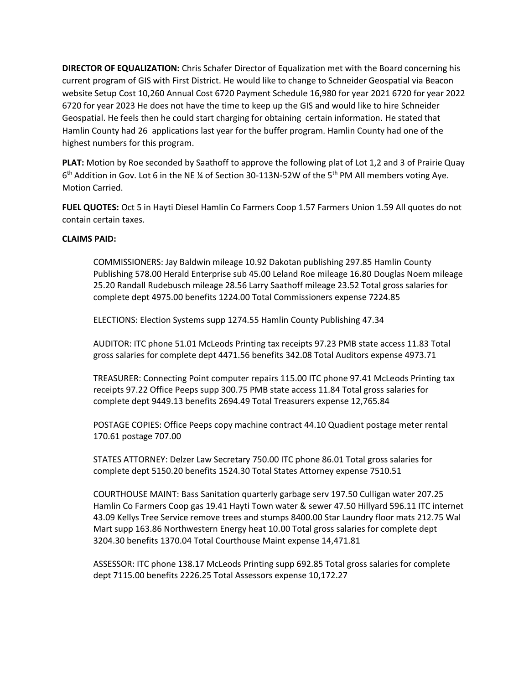**DIRECTOR OF EQUALIZATION:** Chris Schafer Director of Equalization met with the Board concerning his current program of GIS with First District. He would like to change to Schneider Geospatial via Beacon website Setup Cost 10,260 Annual Cost 6720 Payment Schedule 16,980 for year 2021 6720 for year 2022 6720 for year 2023 He does not have the time to keep up the GIS and would like to hire Schneider Geospatial. He feels then he could start charging for obtaining certain information. He stated that Hamlin County had 26 applications last year for the buffer program. Hamlin County had one of the highest numbers for this program.

**PLAT:** Motion by Roe seconded by Saathoff to approve the following plat of Lot 1,2 and 3 of Prairie Quay 6<sup>th</sup> Addition in Gov. Lot 6 in the NE ¼ of Section 30-113N-52W of the 5<sup>th</sup> PM All members voting Aye. Motion Carried.

**FUEL QUOTES:** Oct 5 in Hayti Diesel Hamlin Co Farmers Coop 1.57 Farmers Union 1.59 All quotes do not contain certain taxes.

## **CLAIMS PAID:**

COMMISSIONERS: Jay Baldwin mileage 10.92 Dakotan publishing 297.85 Hamlin County Publishing 578.00 Herald Enterprise sub 45.00 Leland Roe mileage 16.80 Douglas Noem mileage 25.20 Randall Rudebusch mileage 28.56 Larry Saathoff mileage 23.52 Total gross salaries for complete dept 4975.00 benefits 1224.00 Total Commissioners expense 7224.85

ELECTIONS: Election Systems supp 1274.55 Hamlin County Publishing 47.34

AUDITOR: ITC phone 51.01 McLeods Printing tax receipts 97.23 PMB state access 11.83 Total gross salaries for complete dept 4471.56 benefits 342.08 Total Auditors expense 4973.71

TREASURER: Connecting Point computer repairs 115.00 ITC phone 97.41 McLeods Printing tax receipts 97.22 Office Peeps supp 300.75 PMB state access 11.84 Total gross salaries for complete dept 9449.13 benefits 2694.49 Total Treasurers expense 12,765.84

POSTAGE COPIES: Office Peeps copy machine contract 44.10 Quadient postage meter rental 170.61 postage 707.00

STATES ATTORNEY: Delzer Law Secretary 750.00 ITC phone 86.01 Total gross salaries for complete dept 5150.20 benefits 1524.30 Total States Attorney expense 7510.51

COURTHOUSE MAINT: Bass Sanitation quarterly garbage serv 197.50 Culligan water 207.25 Hamlin Co Farmers Coop gas 19.41 Hayti Town water & sewer 47.50 Hillyard 596.11 ITC internet 43.09 Kellys Tree Service remove trees and stumps 8400.00 Star Laundry floor mats 212.75 Wal Mart supp 163.86 Northwestern Energy heat 10.00 Total gross salaries for complete dept 3204.30 benefits 1370.04 Total Courthouse Maint expense 14,471.81

ASSESSOR: ITC phone 138.17 McLeods Printing supp 692.85 Total gross salaries for complete dept 7115.00 benefits 2226.25 Total Assessors expense 10,172.27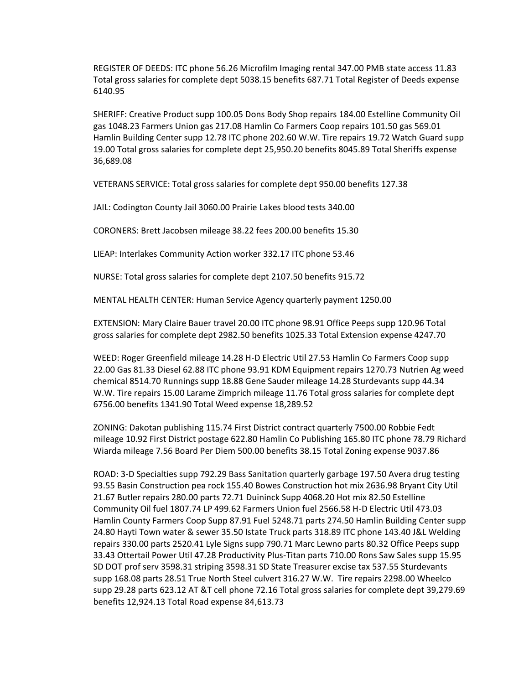REGISTER OF DEEDS: ITC phone 56.26 Microfilm Imaging rental 347.00 PMB state access 11.83 Total gross salaries for complete dept 5038.15 benefits 687.71 Total Register of Deeds expense 6140.95

SHERIFF: Creative Product supp 100.05 Dons Body Shop repairs 184.00 Estelline Community Oil gas 1048.23 Farmers Union gas 217.08 Hamlin Co Farmers Coop repairs 101.50 gas 569.01 Hamlin Building Center supp 12.78 ITC phone 202.60 W.W. Tire repairs 19.72 Watch Guard supp 19.00 Total gross salaries for complete dept 25,950.20 benefits 8045.89 Total Sheriffs expense 36,689.08

VETERANS SERVICE: Total gross salaries for complete dept 950.00 benefits 127.38

JAIL: Codington County Jail 3060.00 Prairie Lakes blood tests 340.00

CORONERS: Brett Jacobsen mileage 38.22 fees 200.00 benefits 15.30

LIEAP: Interlakes Community Action worker 332.17 ITC phone 53.46

NURSE: Total gross salaries for complete dept 2107.50 benefits 915.72

MENTAL HEALTH CENTER: Human Service Agency quarterly payment 1250.00

EXTENSION: Mary Claire Bauer travel 20.00 ITC phone 98.91 Office Peeps supp 120.96 Total gross salaries for complete dept 2982.50 benefits 1025.33 Total Extension expense 4247.70

WEED: Roger Greenfield mileage 14.28 H-D Electric Util 27.53 Hamlin Co Farmers Coop supp 22.00 Gas 81.33 Diesel 62.88 ITC phone 93.91 KDM Equipment repairs 1270.73 Nutrien Ag weed chemical 8514.70 Runnings supp 18.88 Gene Sauder mileage 14.28 Sturdevants supp 44.34 W.W. Tire repairs 15.00 Larame Zimprich mileage 11.76 Total gross salaries for complete dept 6756.00 benefits 1341.90 Total Weed expense 18,289.52

ZONING: Dakotan publishing 115.74 First District contract quarterly 7500.00 Robbie Fedt mileage 10.92 First District postage 622.80 Hamlin Co Publishing 165.80 ITC phone 78.79 Richard Wiarda mileage 7.56 Board Per Diem 500.00 benefits 38.15 Total Zoning expense 9037.86

ROAD: 3-D Specialties supp 792.29 Bass Sanitation quarterly garbage 197.50 Avera drug testing 93.55 Basin Construction pea rock 155.40 Bowes Construction hot mix 2636.98 Bryant City Util 21.67 Butler repairs 280.00 parts 72.71 Duininck Supp 4068.20 Hot mix 82.50 Estelline Community Oil fuel 1807.74 LP 499.62 Farmers Union fuel 2566.58 H-D Electric Util 473.03 Hamlin County Farmers Coop Supp 87.91 Fuel 5248.71 parts 274.50 Hamlin Building Center supp 24.80 Hayti Town water & sewer 35.50 Istate Truck parts 318.89 ITC phone 143.40 J&L Welding repairs 330.00 parts 2520.41 Lyle Signs supp 790.71 Marc Lewno parts 80.32 Office Peeps supp 33.43 Ottertail Power Util 47.28 Productivity Plus-Titan parts 710.00 Rons Saw Sales supp 15.95 SD DOT prof serv 3598.31 striping 3598.31 SD State Treasurer excise tax 537.55 Sturdevants supp 168.08 parts 28.51 True North Steel culvert 316.27 W.W. Tire repairs 2298.00 Wheelco supp 29.28 parts 623.12 AT &T cell phone 72.16 Total gross salaries for complete dept 39,279.69 benefits 12,924.13 Total Road expense 84,613.73